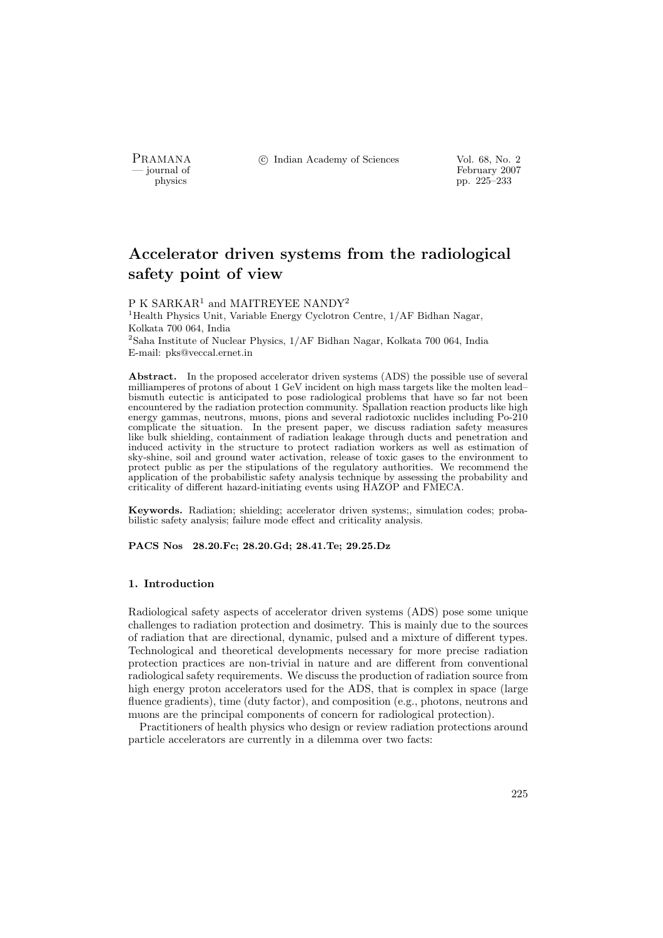PRAMANA °c Indian Academy of Sciences Vol. 68, No. 2

physics<br>
and the settlement of February 2007<br>
pp. 225–233 physics pp. 225–233

# Accelerator driven systems from the radiological safety point of view

P K SARKAR<sup>1</sup> and MAITREYEE NANDY<sup>2</sup>

 $^{1}$  Health Physics Unit, Variable Energy Cyclotron Centre,  $1/ \mathrm{AF}$  Bidhan Nagar, Kolkata 700 064, India <sup>2</sup>Saha Institute of Nuclear Physics, 1/AF Bidhan Nagar, Kolkata 700 064, India E-mail: pks@veccal.ernet.in

Abstract. In the proposed accelerator driven systems (ADS) the possible use of several milliamperes of protons of about 1 GeV incident on high mass targets like the molten lead– bismuth eutectic is anticipated to pose radiological problems that have so far not been encountered by the radiation protection community. Spallation reaction products like high energy gammas, neutrons, muons, pions and several radiotoxic nuclides including Po-210 complicate the situation. In the present paper, we discuss radiation safety measures like bulk shielding, containment of radiation leakage through ducts and penetration and induced activity in the structure to protect radiation workers as well as estimation of sky-shine, soil and ground water activation, release of toxic gases to the environment to protect public as per the stipulations of the regulatory authorities. We recommend the application of the probabilistic safety analysis technique by assessing the probability and criticality of different hazard-initiating events using HAZOP and FMECA.

Keywords. Radiation; shielding; accelerator driven systems;, simulation codes; probabilistic safety analysis; failure mode effect and criticality analysis.

PACS Nos 28.20.Fc; 28.20.Gd; 28.41.Te; 29.25.Dz

#### 1. Introduction

Radiological safety aspects of accelerator driven systems (ADS) pose some unique challenges to radiation protection and dosimetry. This is mainly due to the sources of radiation that are directional, dynamic, pulsed and a mixture of different types. Technological and theoretical developments necessary for more precise radiation protection practices are non-trivial in nature and are different from conventional radiological safety requirements. We discuss the production of radiation source from high energy proton accelerators used for the ADS, that is complex in space (large fluence gradients), time (duty factor), and composition (e.g., photons, neutrons and muons are the principal components of concern for radiological protection).

Practitioners of health physics who design or review radiation protections around particle accelerators are currently in a dilemma over two facts: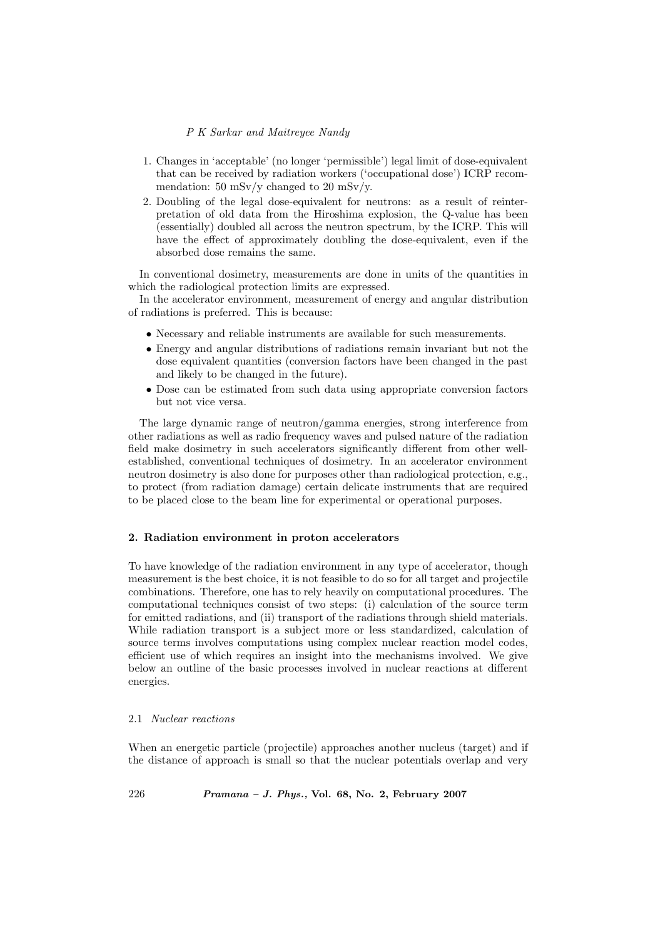## P K Sarkar and Maitreyee Nandy

- 1. Changes in 'acceptable' (no longer 'permissible') legal limit of dose-equivalent that can be received by radiation workers ('occupational dose') ICRP recommendation: 50 mSv/y changed to 20 mSv/y.
- 2. Doubling of the legal dose-equivalent for neutrons: as a result of reinterpretation of old data from the Hiroshima explosion, the Q-value has been (essentially) doubled all across the neutron spectrum, by the ICRP. This will have the effect of approximately doubling the dose-equivalent, even if the absorbed dose remains the same.

In conventional dosimetry, measurements are done in units of the quantities in which the radiological protection limits are expressed.

In the accelerator environment, measurement of energy and angular distribution of radiations is preferred. This is because:

- Necessary and reliable instruments are available for such measurements.
- Energy and angular distributions of radiations remain invariant but not the dose equivalent quantities (conversion factors have been changed in the past and likely to be changed in the future).
- Dose can be estimated from such data using appropriate conversion factors but not vice versa.

The large dynamic range of neutron/gamma energies, strong interference from other radiations as well as radio frequency waves and pulsed nature of the radiation field make dosimetry in such accelerators significantly different from other wellestablished, conventional techniques of dosimetry. In an accelerator environment neutron dosimetry is also done for purposes other than radiological protection, e.g., to protect (from radiation damage) certain delicate instruments that are required to be placed close to the beam line for experimental or operational purposes.

## 2. Radiation environment in proton accelerators

To have knowledge of the radiation environment in any type of accelerator, though measurement is the best choice, it is not feasible to do so for all target and projectile combinations. Therefore, one has to rely heavily on computational procedures. The computational techniques consist of two steps: (i) calculation of the source term for emitted radiations, and (ii) transport of the radiations through shield materials. While radiation transport is a subject more or less standardized, calculation of source terms involves computations using complex nuclear reaction model codes, efficient use of which requires an insight into the mechanisms involved. We give below an outline of the basic processes involved in nuclear reactions at different energies.

#### 2.1 Nuclear reactions

When an energetic particle (projectile) approaches another nucleus (target) and if the distance of approach is small so that the nuclear potentials overlap and very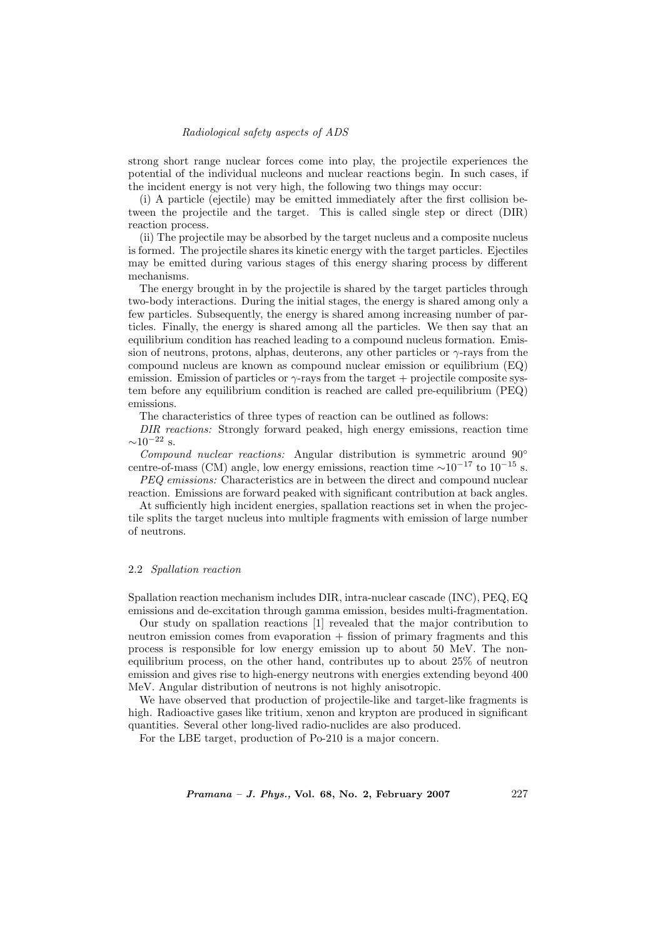## Radiological safety aspects of ADS

strong short range nuclear forces come into play, the projectile experiences the potential of the individual nucleons and nuclear reactions begin. In such cases, if the incident energy is not very high, the following two things may occur:

(i) A particle (ejectile) may be emitted immediately after the first collision between the projectile and the target. This is called single step or direct (DIR) reaction process.

(ii) The projectile may be absorbed by the target nucleus and a composite nucleus is formed. The projectile shares its kinetic energy with the target particles. Ejectiles may be emitted during various stages of this energy sharing process by different mechanisms.

The energy brought in by the projectile is shared by the target particles through two-body interactions. During the initial stages, the energy is shared among only a few particles. Subsequently, the energy is shared among increasing number of particles. Finally, the energy is shared among all the particles. We then say that an equilibrium condition has reached leading to a compound nucleus formation. Emission of neutrons, protons, alphas, deuterons, any other particles or  $\gamma$ -rays from the compound nucleus are known as compound nuclear emission or equilibrium (EQ) emission. Emission of particles or  $\gamma$ -rays from the target + projectile composite system before any equilibrium condition is reached are called pre-equilibrium (PEQ) emissions.

The characteristics of three types of reaction can be outlined as follows:

DIR reactions: Strongly forward peaked, high energy emissions, reaction time  $\sim 10^{-22}$  s.

Compound nuclear reactions: Angular distribution is symmetric around 90° centre-of-mass (CM) angle, low energy emissions, reaction time  $\sim 10^{-17}$  to  $10^{-15}$  s.

PEQ emissions: Characteristics are in between the direct and compound nuclear reaction. Emissions are forward peaked with significant contribution at back angles.

At sufficiently high incident energies, spallation reactions set in when the projectile splits the target nucleus into multiple fragments with emission of large number of neutrons.

#### 2.2 Spallation reaction

Spallation reaction mechanism includes DIR, intra-nuclear cascade (INC), PEQ, EQ emissions and de-excitation through gamma emission, besides multi-fragmentation.

Our study on spallation reactions [1] revealed that the major contribution to neutron emission comes from evaporation + fission of primary fragments and this process is responsible for low energy emission up to about 50 MeV. The nonequilibrium process, on the other hand, contributes up to about 25% of neutron emission and gives rise to high-energy neutrons with energies extending beyond 400 MeV. Angular distribution of neutrons is not highly anisotropic.

We have observed that production of projectile-like and target-like fragments is high. Radioactive gases like tritium, xenon and krypton are produced in significant quantities. Several other long-lived radio-nuclides are also produced.

For the LBE target, production of Po-210 is a major concern.

*Pramana – J. Phys.*, Vol. 68, No. 2, February 2007 227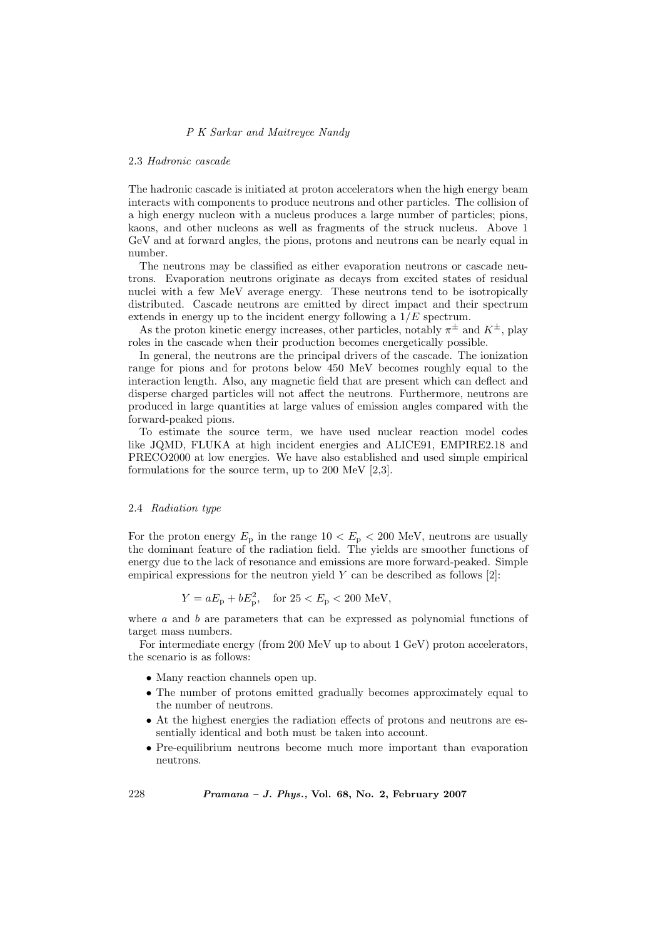#### P K Sarkar and Maitreyee Nandy

#### 2.3 Hadronic cascade

The hadronic cascade is initiated at proton accelerators when the high energy beam interacts with components to produce neutrons and other particles. The collision of a high energy nucleon with a nucleus produces a large number of particles; pions, kaons, and other nucleons as well as fragments of the struck nucleus. Above 1 GeV and at forward angles, the pions, protons and neutrons can be nearly equal in number.

The neutrons may be classified as either evaporation neutrons or cascade neutrons. Evaporation neutrons originate as decays from excited states of residual nuclei with a few MeV average energy. These neutrons tend to be isotropically distributed. Cascade neutrons are emitted by direct impact and their spectrum extends in energy up to the incident energy following a  $1/E$  spectrum.

As the proton kinetic energy increases, other particles, notably  $\pi^{\pm}$  and  $K^{\pm}$ , play roles in the cascade when their production becomes energetically possible.

In general, the neutrons are the principal drivers of the cascade. The ionization range for pions and for protons below 450 MeV becomes roughly equal to the interaction length. Also, any magnetic field that are present which can deflect and disperse charged particles will not affect the neutrons. Furthermore, neutrons are produced in large quantities at large values of emission angles compared with the forward-peaked pions.

To estimate the source term, we have used nuclear reaction model codes like JQMD, FLUKA at high incident energies and ALICE91, EMPIRE2.18 and PRECO2000 at low energies. We have also established and used simple empirical formulations for the source term, up to 200 MeV [2,3].

#### 2.4 Radiation type

For the proton energy  $E_p$  in the range  $10 < E_p < 200$  MeV, neutrons are usually the dominant feature of the radiation field. The yields are smoother functions of energy due to the lack of resonance and emissions are more forward-peaked. Simple empirical expressions for the neutron yield  $Y$  can be described as follows  $[2]$ :

$$
Y = aE_p + bE_p^2, \text{ for } 25 < E_p < 200 \text{ MeV},
$$

where a and b are parameters that can be expressed as polynomial functions of target mass numbers.

For intermediate energy (from 200 MeV up to about 1 GeV) proton accelerators, the scenario is as follows:

- Many reaction channels open up.
- The number of protons emitted gradually becomes approximately equal to the number of neutrons.
- At the highest energies the radiation effects of protons and neutrons are essentially identical and both must be taken into account.
- Pre-equilibrium neutrons become much more important than evaporation neutrons.

228 Pramana – J. Phys., Vol. 68, No. 2, February 2007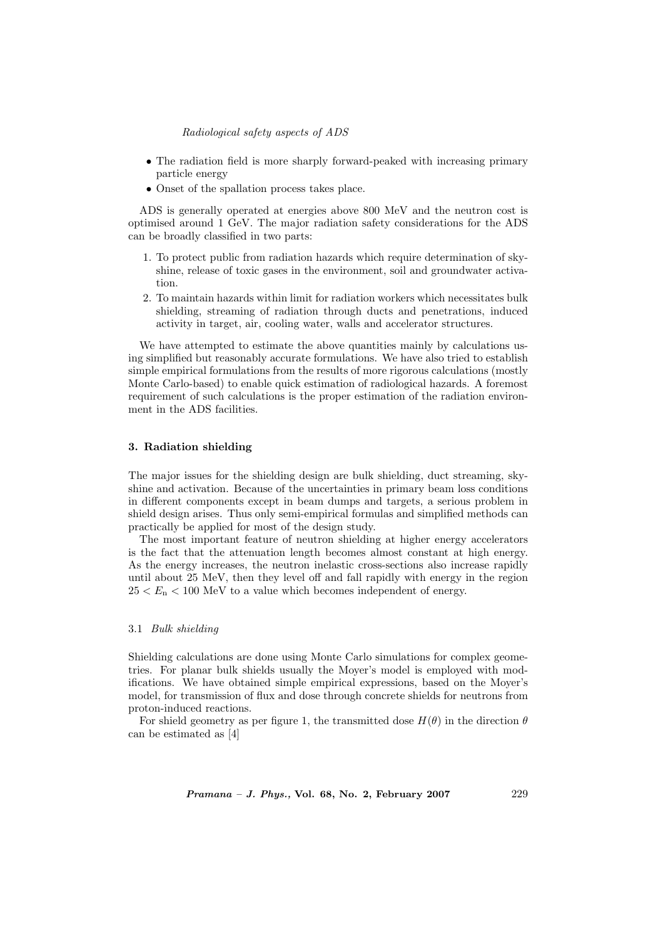#### Radiological safety aspects of ADS

- The radiation field is more sharply forward-peaked with increasing primary particle energy
- Onset of the spallation process takes place.

ADS is generally operated at energies above 800 MeV and the neutron cost is optimised around 1 GeV. The major radiation safety considerations for the ADS can be broadly classified in two parts:

- 1. To protect public from radiation hazards which require determination of skyshine, release of toxic gases in the environment, soil and groundwater activation.
- 2. To maintain hazards within limit for radiation workers which necessitates bulk shielding, streaming of radiation through ducts and penetrations, induced activity in target, air, cooling water, walls and accelerator structures.

We have attempted to estimate the above quantities mainly by calculations using simplified but reasonably accurate formulations. We have also tried to establish simple empirical formulations from the results of more rigorous calculations (mostly Monte Carlo-based) to enable quick estimation of radiological hazards. A foremost requirement of such calculations is the proper estimation of the radiation environment in the ADS facilities.

## 3. Radiation shielding

The major issues for the shielding design are bulk shielding, duct streaming, skyshine and activation. Because of the uncertainties in primary beam loss conditions in different components except in beam dumps and targets, a serious problem in shield design arises. Thus only semi-empirical formulas and simplified methods can practically be applied for most of the design study.

The most important feature of neutron shielding at higher energy accelerators is the fact that the attenuation length becomes almost constant at high energy. As the energy increases, the neutron inelastic cross-sections also increase rapidly until about 25 MeV, then they level off and fall rapidly with energy in the region  $25 < E_n < 100$  MeV to a value which becomes independent of energy.

## 3.1 Bulk shielding

Shielding calculations are done using Monte Carlo simulations for complex geometries. For planar bulk shields usually the Moyer's model is employed with modifications. We have obtained simple empirical expressions, based on the Moyer's model, for transmission of flux and dose through concrete shields for neutrons from proton-induced reactions.

For shield geometry as per figure 1, the transmitted dose  $H(\theta)$  in the direction  $\theta$ can be estimated as [4]

*Pramana – J. Phys.*, Vol. 68, No. 2, February 2007 229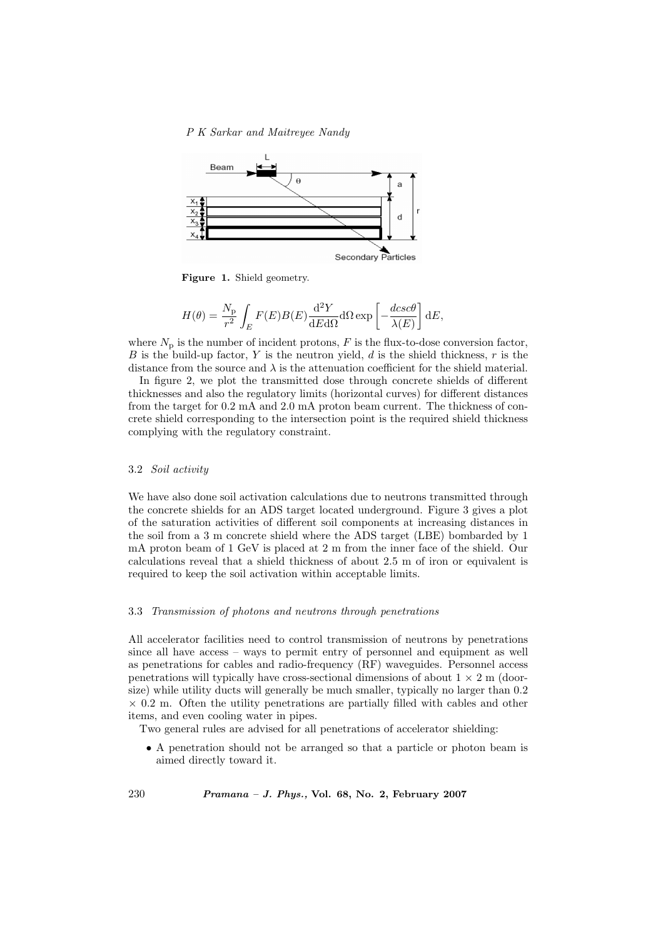P K Sarkar and Maitreyee Nandy



Figure 1. Shield geometry.

$$
H(\theta) = \frac{N_{\rm p}}{r^2} \int_E F(E)B(E) \frac{\mathrm{d}^2 Y}{\mathrm{d}E \mathrm{d}\Omega} \mathrm{d}\Omega \exp\left[-\frac{d\csc\theta}{\lambda(E)}\right] \mathrm{d}E,
$$

where  $N_{\rm p}$  is the number of incident protons, F is the flux-to-dose conversion factor, B is the build-up factor, Y is the neutron yield,  $d$  is the shield thickness,  $r$  is the distance from the source and  $\lambda$  is the attenuation coefficient for the shield material.

In figure 2, we plot the transmitted dose through concrete shields of different thicknesses and also the regulatory limits (horizontal curves) for different distances from the target for 0.2 mA and 2.0 mA proton beam current. The thickness of concrete shield corresponding to the intersection point is the required shield thickness complying with the regulatory constraint.

## 3.2 Soil activity

We have also done soil activation calculations due to neutrons transmitted through the concrete shields for an ADS target located underground. Figure 3 gives a plot of the saturation activities of different soil components at increasing distances in the soil from a 3 m concrete shield where the ADS target (LBE) bombarded by 1 mA proton beam of 1 GeV is placed at 2 m from the inner face of the shield. Our calculations reveal that a shield thickness of about 2.5 m of iron or equivalent is required to keep the soil activation within acceptable limits.

#### 3.3 Transmission of photons and neutrons through penetrations

All accelerator facilities need to control transmission of neutrons by penetrations since all have access – ways to permit entry of personnel and equipment as well as penetrations for cables and radio-frequency (RF) waveguides. Personnel access penetrations will typically have cross-sectional dimensions of about  $1 \times 2$  m (doorsize) while utility ducts will generally be much smaller, typically no larger than 0.2  $\times$  0.2 m. Often the utility penetrations are partially filled with cables and other items, and even cooling water in pipes.

Two general rules are advised for all penetrations of accelerator shielding:

• A penetration should not be arranged so that a particle or photon beam is aimed directly toward it.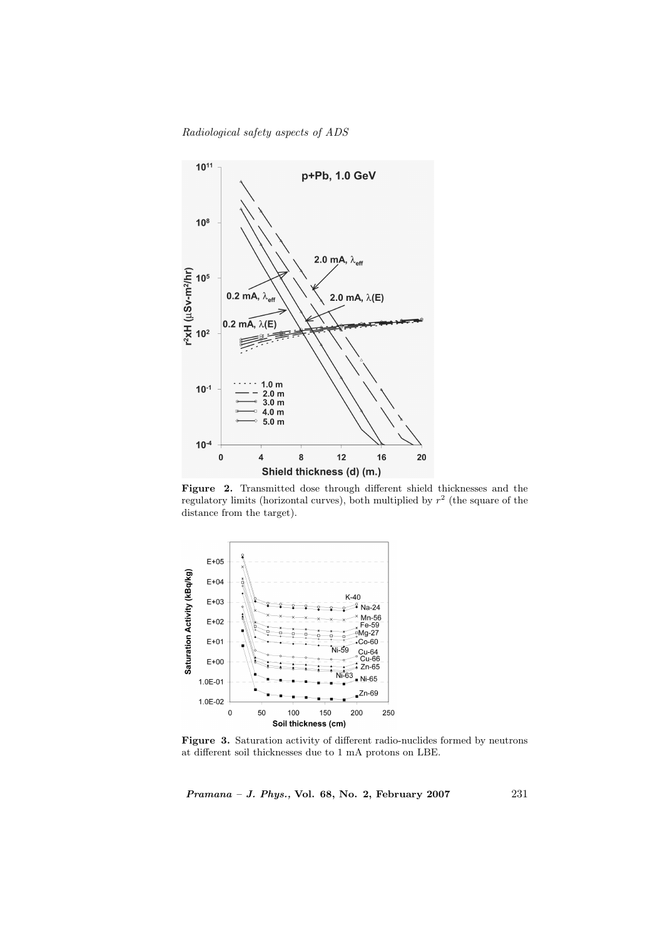Radiological safety aspects of ADS



Figure 2. Transmitted dose through different shield thicknesses and the regulatory limits (horizontal curves), both multiplied by  $r^2$  (the square of the distance from the target).



Figure 3. Saturation activity of different radio-nuclides formed by neutrons at different soil thicknesses due to 1 mA protons on LBE.

Pramana – J. Phys., Vol. 68, No. 2, February 2007 231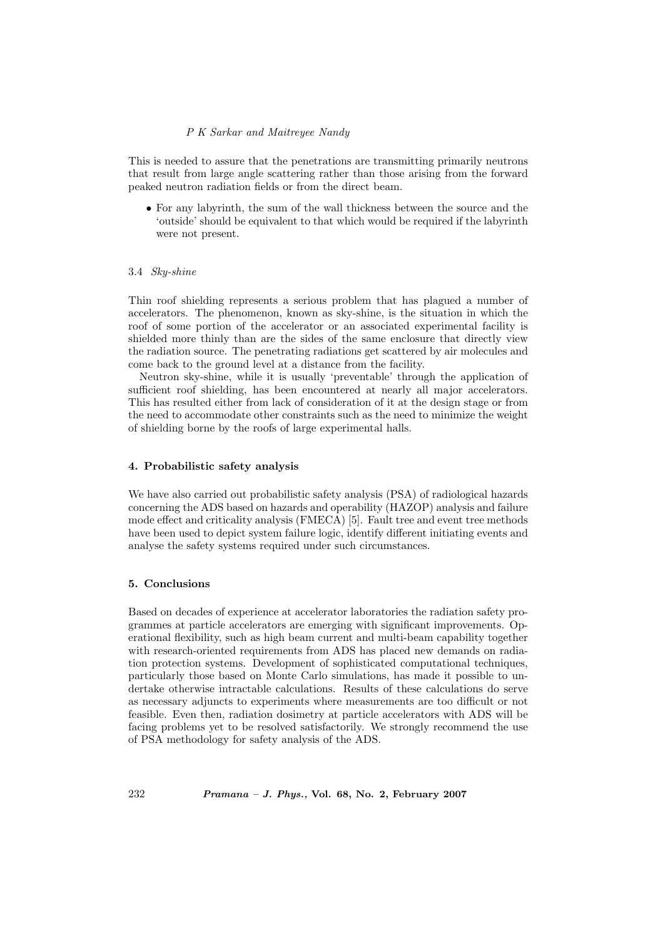## P K Sarkar and Maitreyee Nandy

This is needed to assure that the penetrations are transmitting primarily neutrons that result from large angle scattering rather than those arising from the forward peaked neutron radiation fields or from the direct beam.

• For any labyrinth, the sum of the wall thickness between the source and the 'outside' should be equivalent to that which would be required if the labyrinth were not present.

## 3.4 Sky-shine

Thin roof shielding represents a serious problem that has plagued a number of accelerators. The phenomenon, known as sky-shine, is the situation in which the roof of some portion of the accelerator or an associated experimental facility is shielded more thinly than are the sides of the same enclosure that directly view the radiation source. The penetrating radiations get scattered by air molecules and come back to the ground level at a distance from the facility.

Neutron sky-shine, while it is usually 'preventable' through the application of sufficient roof shielding, has been encountered at nearly all major accelerators. This has resulted either from lack of consideration of it at the design stage or from the need to accommodate other constraints such as the need to minimize the weight of shielding borne by the roofs of large experimental halls.

## 4. Probabilistic safety analysis

We have also carried out probabilistic safety analysis (PSA) of radiological hazards concerning the ADS based on hazards and operability (HAZOP) analysis and failure mode effect and criticality analysis (FMECA) [5]. Fault tree and event tree methods have been used to depict system failure logic, identify different initiating events and analyse the safety systems required under such circumstances.

## 5. Conclusions

Based on decades of experience at accelerator laboratories the radiation safety programmes at particle accelerators are emerging with significant improvements. Operational flexibility, such as high beam current and multi-beam capability together with research-oriented requirements from ADS has placed new demands on radiation protection systems. Development of sophisticated computational techniques, particularly those based on Monte Carlo simulations, has made it possible to undertake otherwise intractable calculations. Results of these calculations do serve as necessary adjuncts to experiments where measurements are too difficult or not feasible. Even then, radiation dosimetry at particle accelerators with ADS will be facing problems yet to be resolved satisfactorily. We strongly recommend the use of PSA methodology for safety analysis of the ADS.

232 Pramana – J. Phys., Vol. 68, No. 2, February 2007